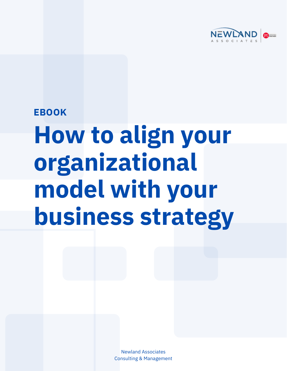

### **EBOOK**

# **How to align your organizational model with your business strategy**

Newland Associates Consulting & Management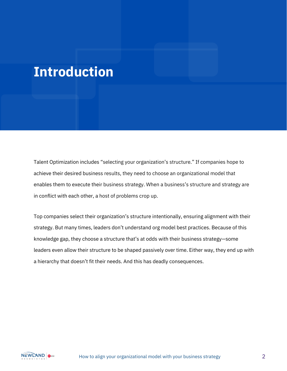## **Introduction**

Talent Optimization includes "selecting your organization's structure." If companies hope to achieve their desired business results, they need to choose an organizational model that enables them to execute their business strategy. When a business's structure and strategy are in conflict with each other, a host of problems crop up.

Top companies select their organization's structure intentionally, ensuring alignment with their strategy. But many times, leaders don't understand org model best practices. Because of this knowledge gap, they choose a structure that's at odds with their business strategy—some leaders even allow their structure to be shaped passively over time. Either way, they end up with a hierarchy that doesn't fit their needs. And this has deadly consequences.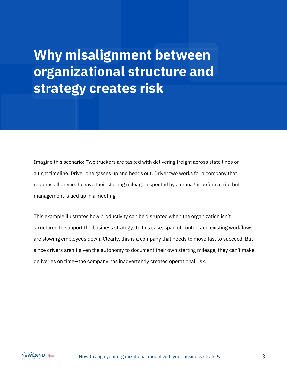## **Why misalignment between organizational structure and strategy creates risk**

Imagine this scenario: Two truckers are tasked with delivering freight across state lines on a tight timeline. Driver one gasses up and heads out. Driver two works for a company that requires all drivers to have their starting mileage inspected by a manager before a trip; but management is tied up in a meeting.

This example illustrates how productivity can be disrupted when the organization isn't structured to support the business strategy. In this case, span of control and existing workflows are slowing employees down. Clearly, this is a company that needs to move fast to succeed. But since drivers aren't given the autonomy to document their own starting mileage, they can't make deliveries on time—the company has inadvertently created operational risk.

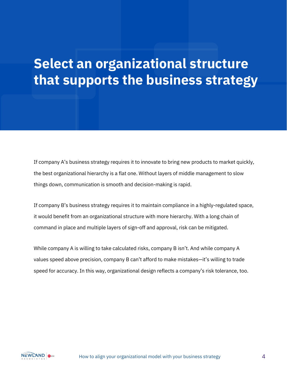#### **Jelest an org**<br>that cunnerts **Select an organizational structure that supports the business strategy**

If company A's business strategy requires it to innovate to bring new products to market quickly, the best organizational hierarchy is a flat one. Without layers of middle management to slow things down, communication is smooth and decision-making is rapid.

If company B's business strategy requires it to maintain compliance in a highly-regulated space, it would benefit from an organizational structure with more hierarchy. With a long chain of command in place and multiple layers of sign-off and approval, risk can be mitigated.

While company A is willing to take calculated risks, company B isn't. And while company A values speed above precision, company B can't afford to make mistakes—it's willing to trade speed for accuracy. In this way, organizational design reflects a company's risk tolerance, too.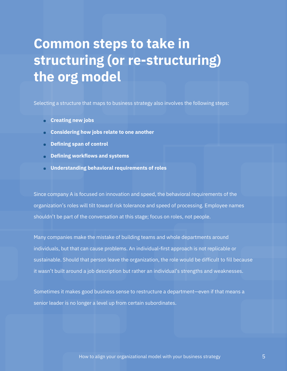## **Common steps to take in structuring (or re-structuring) the org model**

Selecting a structure that maps to business strategy also involves the following steps:

- **Creating new jobs •**
- **Considering how jobs relate to one another •**
- **Defining span of control •**
- **Defining workflows and systems •**
- **Understanding behavioral requirements of roles •**

Since company A is focused on innovation and speed, the behavioral requirements of the organization's roles will tilt toward risk tolerance and speed of processing. Employee names shouldn't be part of the conversation at this stage; focus on roles, not people.

Many companies make the mistake of building teams and whole departments around individuals, but that can cause problems. An individual-first approach is not replicable or sustainable. Should that person leave the organization, the role would be difficult to fill because it wasn't built around a job description but rather an individual's strengths and weaknesses.

Sometimes it makes good business sense to restructure a department—even if that means a senior leader is no longer a level up from certain subordinates.